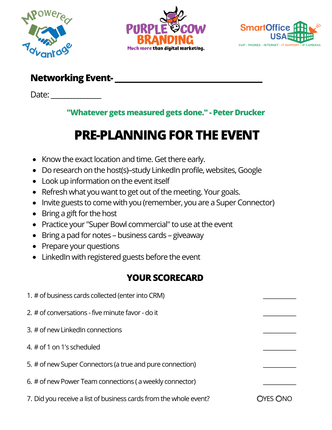





### **Networking Event- \_\_\_\_\_\_\_\_\_\_\_\_\_\_\_\_\_\_\_\_\_\_\_\_\_\_\_\_\_\_\_\_\_\_\_**

Date:

#### **"Whatever gets measured gets done." - Peter Drucker**

# **PRE-PLANNING FOR THE EVENT**

- Know the exact location and time. Get there early.
- Do research on the host(s)–study LinkedIn profile, websites, Google
- Look up information on the event itself
- Refresh what you want to get out of the meeting. Your goals.
- Invite guests to come with you (remember, you are a Super Connector)
- Bring a gift for the host
- Practice your "Super Bowl commercial" to use at the event
- Bring a pad for notes business cards giveaway
- Prepare your questions
- LinkedIn with registered guests before the event

## **YOUR SCORECARD**

| 1. # of business cards collected (enter into CRM)                 |          |
|-------------------------------------------------------------------|----------|
| 2. # of conversations - five minute favor - do it                 |          |
| 3. # of new LinkedIn connections                                  |          |
| 4. # of 1 on 1's scheduled                                        |          |
| 5. # of new Super Connectors (a true and pure connection)         |          |
| 6. # of new Power Team connections (a weekly connector)           |          |
| 7. Did you receive a list of business cards from the whole event? | OYES ONO |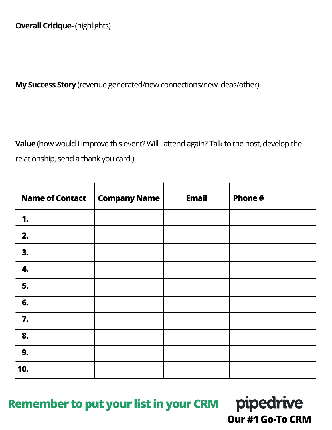**My Success Story** (revenue generated/new connections/new ideas/other)

**Value** (how would I improve this event? Will I attend again? Talk to the host, develop the relationship, send a thank you card.)

| <b>Name of Contact</b> | <b>Company Name</b> | <b>Email</b> | Phone# |
|------------------------|---------------------|--------------|--------|
| 1.                     |                     |              |        |
| 2.                     |                     |              |        |
| 3.                     |                     |              |        |
| 4.                     |                     |              |        |
| 5.                     |                     |              |        |
| 6.                     |                     |              |        |
| 7.                     |                     |              |        |
| 8.                     |                     |              |        |
| 9.                     |                     |              |        |
| 10.                    |                     |              |        |

**Remember to put your list in your CRM**

pipedrive **Our #1 Go-To CRM**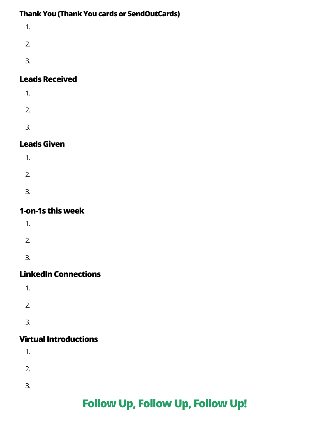#### **Thank You (Thank You cards or SendOutCards)**

1. 2. 3.

#### **Leads Received**

- 1. 2.
- 3.

#### **Leads Given**

- 1.
- 2.
- 3.
- 

#### **1-on-1s this week**

- 1.
- 2.
- 
- 3.

#### **LinkedIn Connections**

- 1.
- 
- 2.
- 
- 3.

### **Virtual Introductions**

- 1.
- 2.
- 
- 3.

## **Follow Up, Follow Up, Follow Up!**